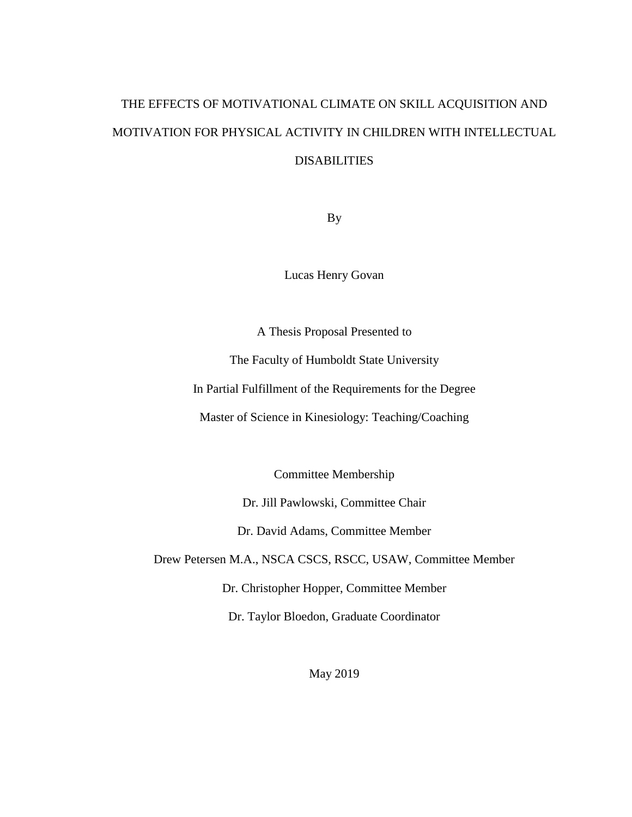# THE EFFECTS OF MOTIVATIONAL CLIMATE ON SKILL ACQUISITION AND MOTIVATION FOR PHYSICAL ACTIVITY IN CHILDREN WITH INTELLECTUAL DISABILITIES

By

Lucas Henry Govan

A Thesis Proposal Presented to

The Faculty of Humboldt State University

In Partial Fulfillment of the Requirements for the Degree

Master of Science in Kinesiology: Teaching/Coaching

Committee Membership

Dr. Jill Pawlowski, Committee Chair

Dr. David Adams, Committee Member

Drew Petersen M.A., NSCA CSCS, RSCC, USAW, Committee Member

Dr. Christopher Hopper, Committee Member

Dr. Taylor Bloedon, Graduate Coordinator

May 2019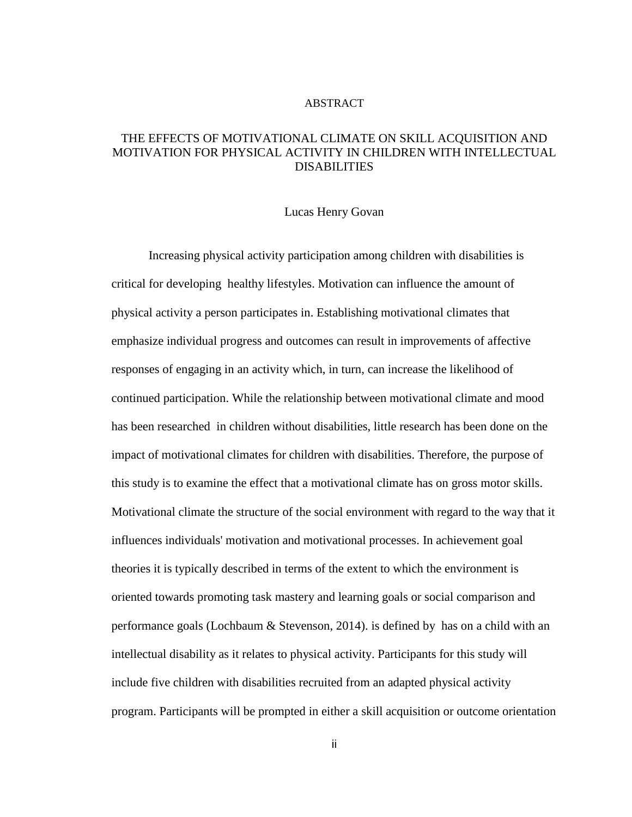#### ABSTRACT

# THE EFFECTS OF MOTIVATIONAL CLIMATE ON SKILL ACQUISITION AND MOTIVATION FOR PHYSICAL ACTIVITY IN CHILDREN WITH INTELLECTUAL DISABILITIES

#### Lucas Henry Govan

Increasing physical activity participation among children with disabilities is critical for developing healthy lifestyles. Motivation can influence the amount of physical activity a person participates in. Establishing motivational climates that emphasize individual progress and outcomes can result in improvements of affective responses of engaging in an activity which, in turn, can increase the likelihood of continued participation. While the relationship between motivational climate and mood has been researched in children without disabilities, little research has been done on the impact of motivational climates for children with disabilities. Therefore, the purpose of this study is to examine the effect that a motivational climate has on gross motor skills. Motivational climate the structure of the social environment with regard to the way that it influences individuals' motivation and motivational processes. In achievement goal theories it is typically described in terms of the extent to which the environment is oriented towards promoting task mastery and learning goals or social comparison and performance goals (Lochbaum & Stevenson, 2014). is defined by has on a child with an intellectual disability as it relates to physical activity. Participants for this study will include five children with disabilities recruited from an adapted physical activity program. Participants will be prompted in either a skill acquisition or outcome orientation

ii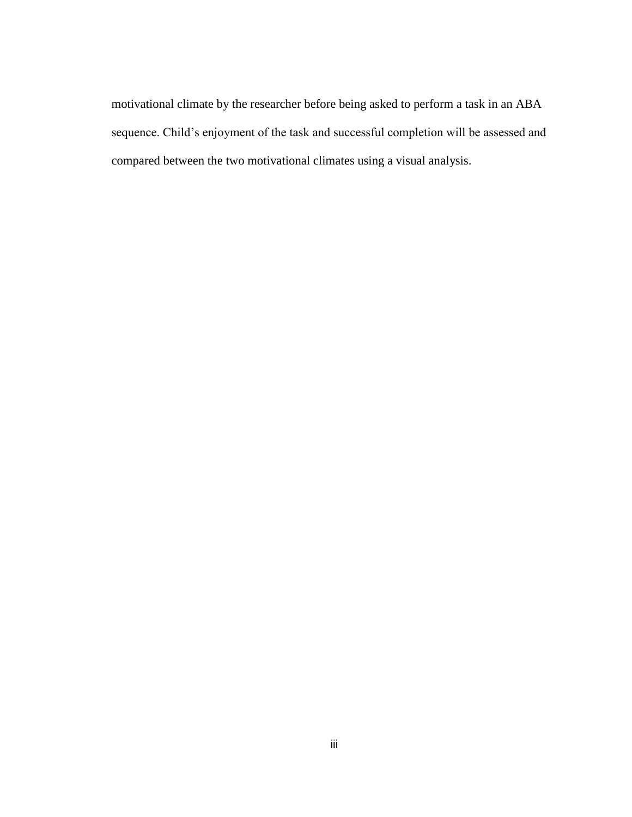motivational climate by the researcher before being asked to perform a task in an ABA sequence. Child's enjoyment of the task and successful completion will be assessed and compared between the two motivational climates using a visual analysis.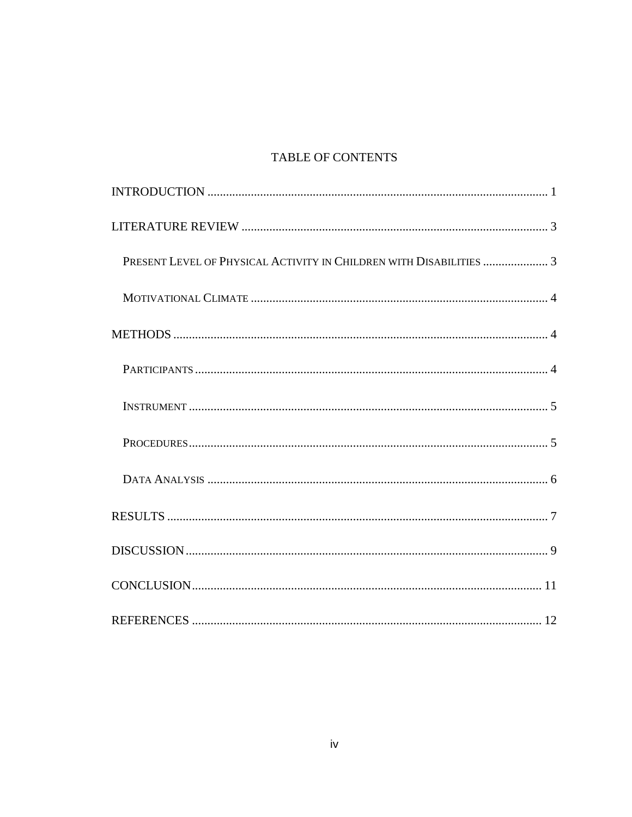# TABLE OF CONTENTS

| PRESENT LEVEL OF PHYSICAL ACTIVITY IN CHILDREN WITH DISABILITIES  3 |  |
|---------------------------------------------------------------------|--|
|                                                                     |  |
|                                                                     |  |
|                                                                     |  |
|                                                                     |  |
|                                                                     |  |
|                                                                     |  |
|                                                                     |  |
|                                                                     |  |
|                                                                     |  |
|                                                                     |  |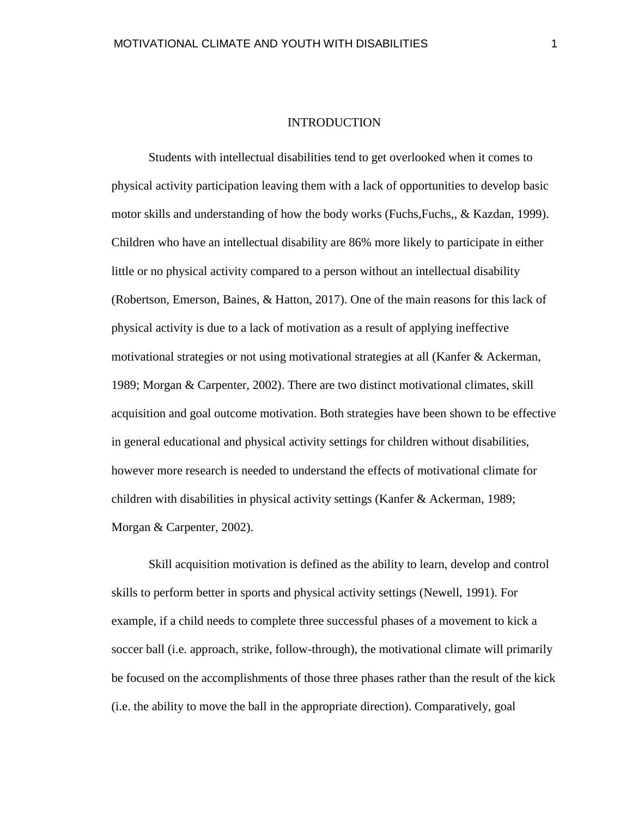#### INTRODUCTION

<span id="page-4-0"></span>Students with intellectual disabilities tend to get overlooked when it comes to physical activity participation leaving them with a lack of opportunities to develop basic motor skills and understanding of how the body works (Fuchs,Fuchs,, & Kazdan, 1999). Children who have an intellectual disability are 86% more likely to participate in either little or no physical activity compared to a person without an intellectual disability (Robertson, Emerson, Baines, & Hatton, 2017). One of the main reasons for this lack of physical activity is due to a lack of motivation as a result of applying ineffective motivational strategies or not using motivational strategies at all (Kanfer & Ackerman, 1989; Morgan & Carpenter, 2002). There are two distinct motivational climates, skill acquisition and goal outcome motivation. Both strategies have been shown to be effective in general educational and physical activity settings for children without disabilities, however more research is needed to understand the effects of motivational climate for children with disabilities in physical activity settings (Kanfer & Ackerman, 1989; Morgan & Carpenter, 2002).

Skill acquisition motivation is defined as the ability to learn, develop and control skills to perform better in sports and physical activity settings (Newell, 1991). For example, if a child needs to complete three successful phases of a movement to kick a soccer ball (i.e. approach, strike, follow-through), the motivational climate will primarily be focused on the accomplishments of those three phases rather than the result of the kick (i.e. the ability to move the ball in the appropriate direction). Comparatively, goal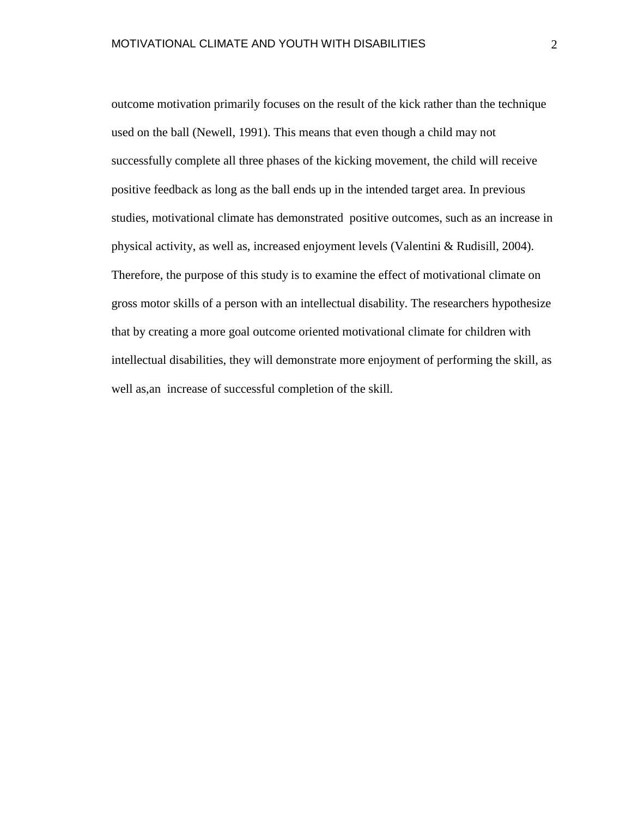outcome motivation primarily focuses on the result of the kick rather than the technique used on the ball (Newell, 1991). This means that even though a child may not successfully complete all three phases of the kicking movement, the child will receive positive feedback as long as the ball ends up in the intended target area. In previous studies, motivational climate has demonstrated positive outcomes, such as an increase in physical activity, as well as, increased enjoyment levels (Valentini & Rudisill, 2004). Therefore, the purpose of this study is to examine the effect of motivational climate on gross motor skills of a person with an intellectual disability. The researchers hypothesize that by creating a more goal outcome oriented motivational climate for children with intellectual disabilities, they will demonstrate more enjoyment of performing the skill, as well as,an increase of successful completion of the skill.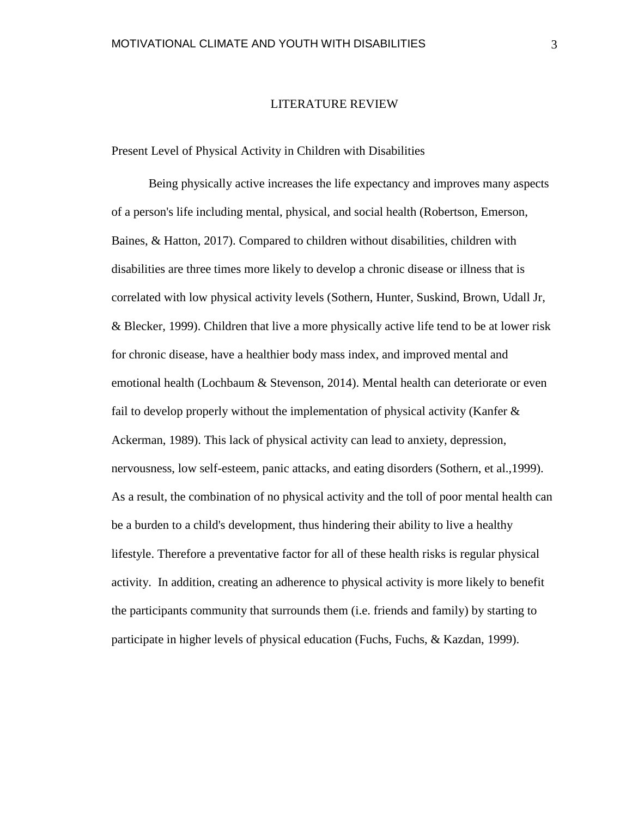### LITERATURE REVIEW

<span id="page-6-1"></span><span id="page-6-0"></span>Present Level of Physical Activity in Children with Disabilities

Being physically active increases the life expectancy and improves many aspects of a person's life including mental, physical, and social health (Robertson, Emerson, Baines, & Hatton, 2017). Compared to children without disabilities, children with disabilities are three times more likely to develop a chronic disease or illness that is correlated with low physical activity levels (Sothern, Hunter, Suskind, Brown, Udall Jr, & Blecker, 1999). Children that live a more physically active life tend to be at lower risk for chronic disease, have a healthier body mass index, and improved mental and emotional health (Lochbaum & Stevenson, 2014). Mental health can deteriorate or even fail to develop properly without the implementation of physical activity (Kanfer & Ackerman, 1989). This lack of physical activity can lead to anxiety, depression, nervousness, low self-esteem, panic attacks, and eating disorders (Sothern, et al.,1999). As a result, the combination of no physical activity and the toll of poor mental health can be a burden to a child's development, thus hindering their ability to live a healthy lifestyle. Therefore a preventative factor for all of these health risks is regular physical activity. In addition, creating an adherence to physical activity is more likely to benefit the participants community that surrounds them (i.e. friends and family) by starting to participate in higher levels of physical education (Fuchs, Fuchs, & Kazdan, 1999).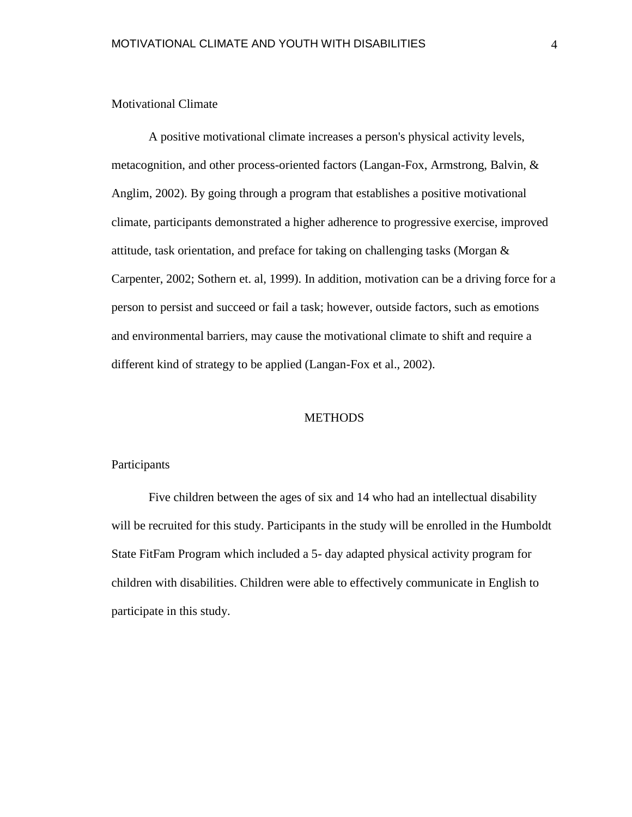### <span id="page-7-0"></span>Motivational Climate

A positive motivational climate increases a person's physical activity levels, metacognition, and other process-oriented factors (Langan-Fox, Armstrong, Balvin, & Anglim, 2002). By going through a program that establishes a positive motivational climate, participants demonstrated a higher adherence to progressive exercise, improved attitude, task orientation, and preface for taking on challenging tasks (Morgan  $\&$ Carpenter, 2002; Sothern et. al, 1999). In addition, motivation can be a driving force for a person to persist and succeed or fail a task; however, outside factors, such as emotions and environmental barriers, may cause the motivational climate to shift and require a different kind of strategy to be applied (Langan-Fox et al., 2002).

## **METHODS**

## <span id="page-7-2"></span><span id="page-7-1"></span>Participants

Five children between the ages of six and 14 who had an intellectual disability will be recruited for this study. Participants in the study will be enrolled in the Humboldt State FitFam Program which included a 5- day adapted physical activity program for children with disabilities. Children were able to effectively communicate in English to participate in this study.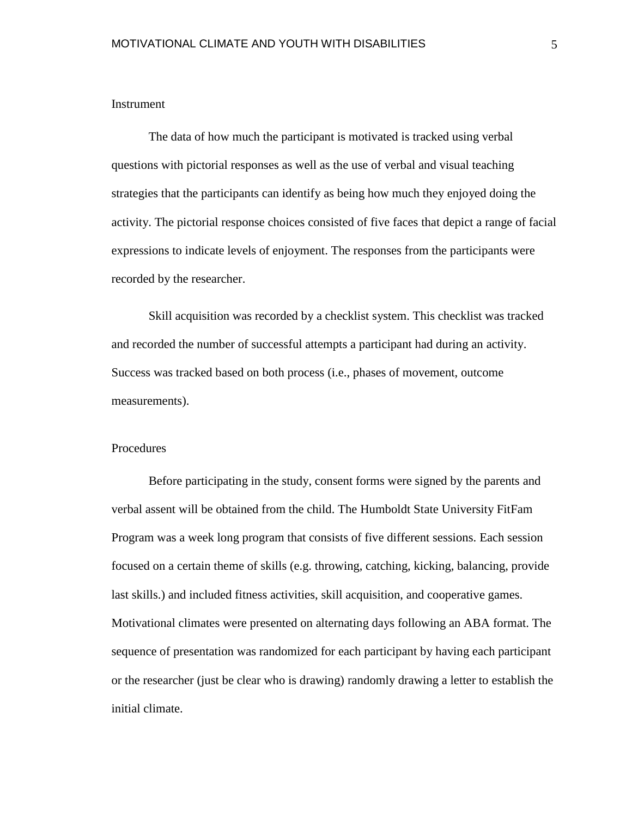# <span id="page-8-0"></span>Instrument

The data of how much the participant is motivated is tracked using verbal questions with pictorial responses as well as the use of verbal and visual teaching strategies that the participants can identify as being how much they enjoyed doing the activity. The pictorial response choices consisted of five faces that depict a range of facial expressions to indicate levels of enjoyment. The responses from the participants were recorded by the researcher.

Skill acquisition was recorded by a checklist system. This checklist was tracked and recorded the number of successful attempts a participant had during an activity. Success was tracked based on both process (i.e., phases of movement, outcome measurements).

# <span id="page-8-1"></span>Procedures

Before participating in the study, consent forms were signed by the parents and verbal assent will be obtained from the child. The Humboldt State University FitFam Program was a week long program that consists of five different sessions. Each session focused on a certain theme of skills (e.g. throwing, catching, kicking, balancing, provide last skills.) and included fitness activities, skill acquisition, and cooperative games. Motivational climates were presented on alternating days following an ABA format. The sequence of presentation was randomized for each participant by having each participant or the researcher (just be clear who is drawing) randomly drawing a letter to establish the initial climate.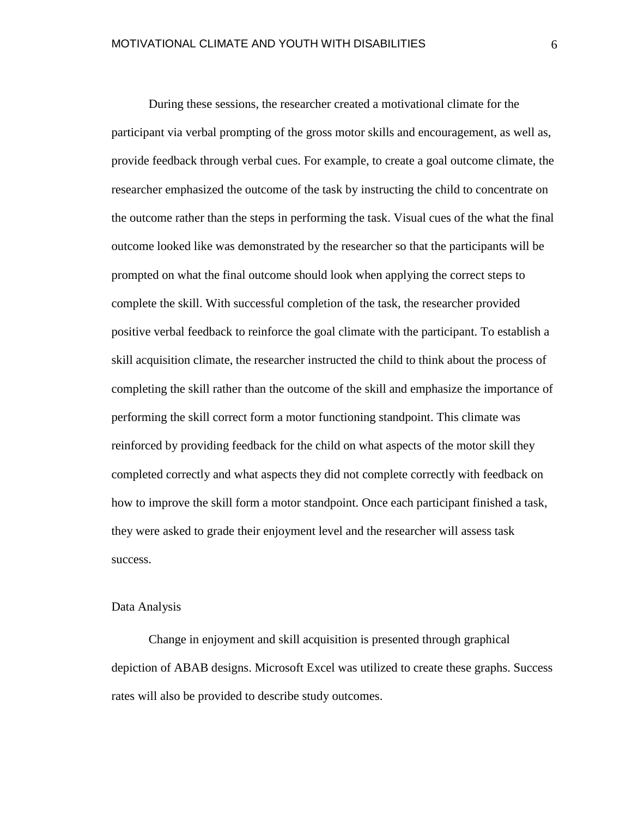During these sessions, the researcher created a motivational climate for the participant via verbal prompting of the gross motor skills and encouragement, as well as, provide feedback through verbal cues. For example, to create a goal outcome climate, the researcher emphasized the outcome of the task by instructing the child to concentrate on the outcome rather than the steps in performing the task. Visual cues of the what the final outcome looked like was demonstrated by the researcher so that the participants will be prompted on what the final outcome should look when applying the correct steps to complete the skill. With successful completion of the task, the researcher provided positive verbal feedback to reinforce the goal climate with the participant. To establish a skill acquisition climate, the researcher instructed the child to think about the process of completing the skill rather than the outcome of the skill and emphasize the importance of performing the skill correct form a motor functioning standpoint. This climate was reinforced by providing feedback for the child on what aspects of the motor skill they completed correctly and what aspects they did not complete correctly with feedback on how to improve the skill form a motor standpoint. Once each participant finished a task, they were asked to grade their enjoyment level and the researcher will assess task success.

# <span id="page-9-0"></span>Data Analysis

Change in enjoyment and skill acquisition is presented through graphical depiction of ABAB designs. Microsoft Excel was utilized to create these graphs. Success rates will also be provided to describe study outcomes.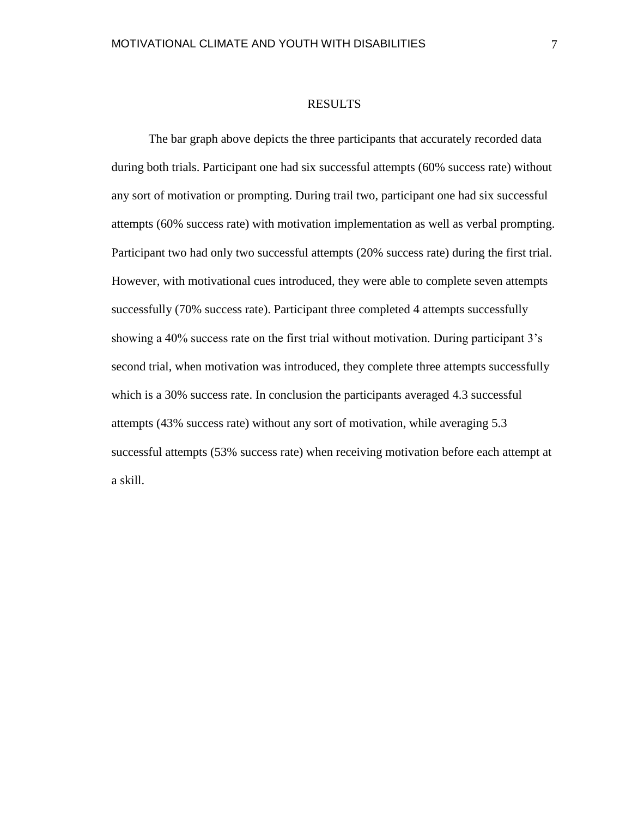#### RESULTS

<span id="page-10-0"></span>The bar graph above depicts the three participants that accurately recorded data during both trials. Participant one had six successful attempts (60% success rate) without any sort of motivation or prompting. During trail two, participant one had six successful attempts (60% success rate) with motivation implementation as well as verbal prompting. Participant two had only two successful attempts (20% success rate) during the first trial. However, with motivational cues introduced, they were able to complete seven attempts successfully (70% success rate). Participant three completed 4 attempts successfully showing a 40% success rate on the first trial without motivation. During participant 3's second trial, when motivation was introduced, they complete three attempts successfully which is a 30% success rate. In conclusion the participants averaged 4.3 successful attempts (43% success rate) without any sort of motivation, while averaging 5.3 successful attempts (53% success rate) when receiving motivation before each attempt at a skill.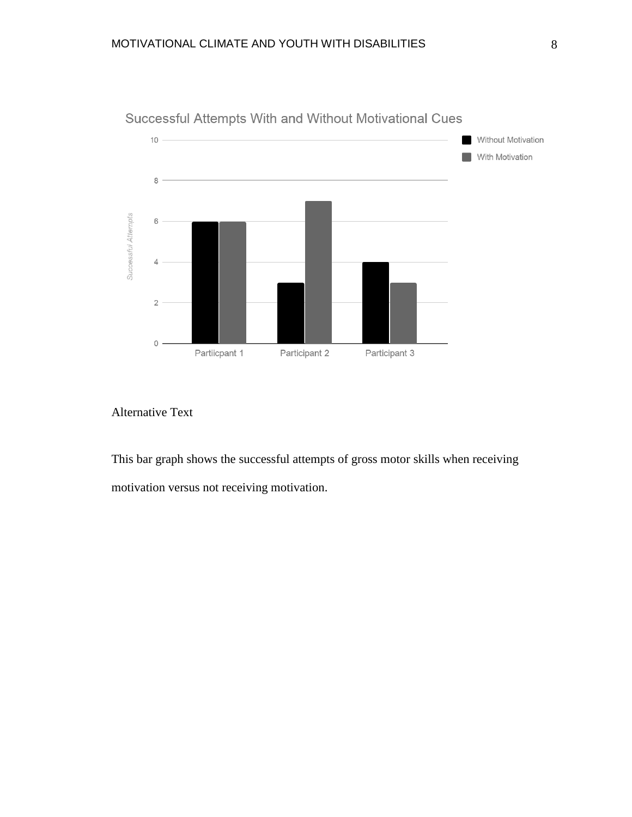

Successful Attempts With and Without Motivational Cues

# Alternative Text

This bar graph shows the successful attempts of gross motor skills when receiving motivation versus not receiving motivation.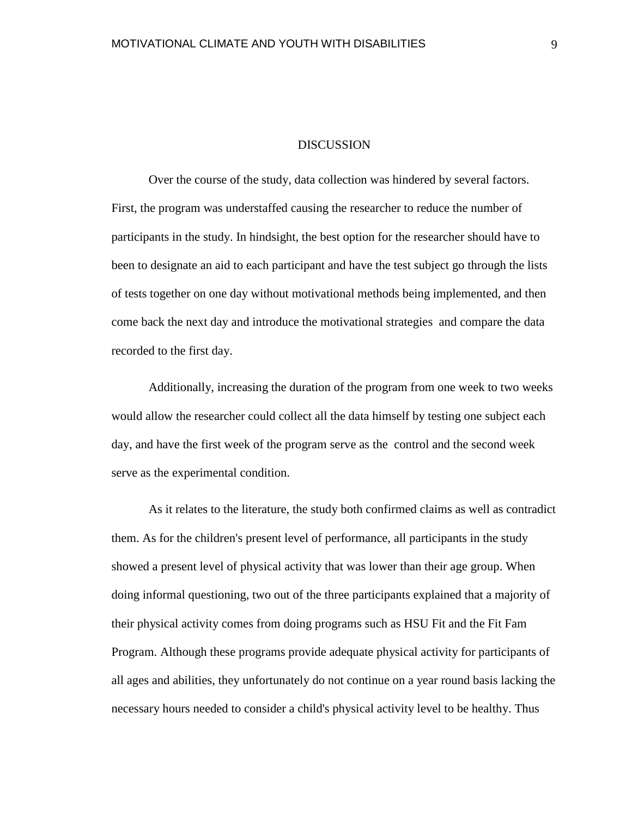#### DISCUSSION

<span id="page-12-0"></span>Over the course of the study, data collection was hindered by several factors. First, the program was understaffed causing the researcher to reduce the number of participants in the study. In hindsight, the best option for the researcher should have to been to designate an aid to each participant and have the test subject go through the lists of tests together on one day without motivational methods being implemented, and then come back the next day and introduce the motivational strategies and compare the data recorded to the first day.

Additionally, increasing the duration of the program from one week to two weeks would allow the researcher could collect all the data himself by testing one subject each day, and have the first week of the program serve as the control and the second week serve as the experimental condition.

As it relates to the literature, the study both confirmed claims as well as contradict them. As for the children's present level of performance, all participants in the study showed a present level of physical activity that was lower than their age group. When doing informal questioning, two out of the three participants explained that a majority of their physical activity comes from doing programs such as HSU Fit and the Fit Fam Program. Although these programs provide adequate physical activity for participants of all ages and abilities, they unfortunately do not continue on a year round basis lacking the necessary hours needed to consider a child's physical activity level to be healthy. Thus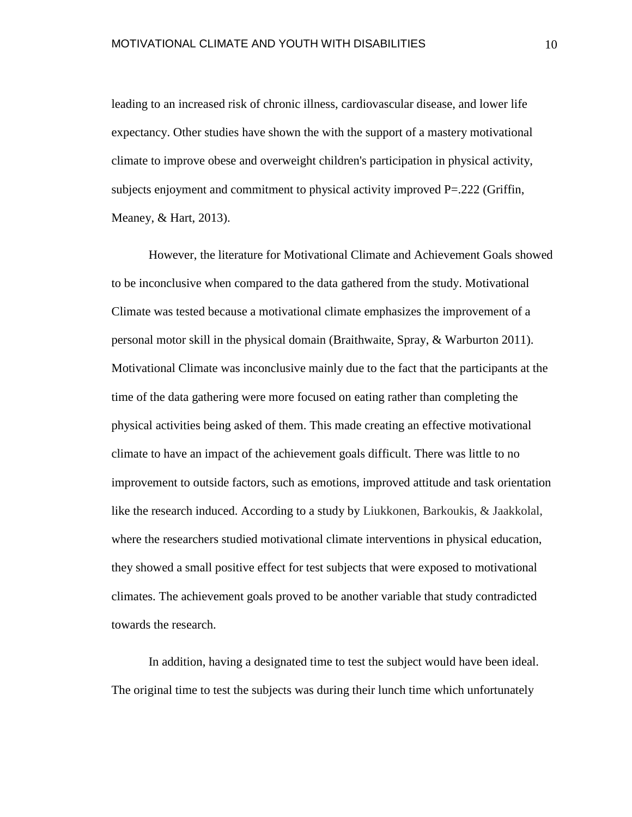leading to an increased risk of chronic illness, cardiovascular disease, and lower life expectancy. Other studies have shown the with the support of a mastery motivational climate to improve obese and overweight children's participation in physical activity, subjects enjoyment and commitment to physical activity improved P=.222 (Griffin, Meaney, & Hart, 2013).

However, the literature for Motivational Climate and Achievement Goals showed to be inconclusive when compared to the data gathered from the study. Motivational Climate was tested because a motivational climate emphasizes the improvement of a personal motor skill in the physical domain (Braithwaite, Spray, & Warburton 2011). Motivational Climate was inconclusive mainly due to the fact that the participants at the time of the data gathering were more focused on eating rather than completing the physical activities being asked of them. This made creating an effective motivational climate to have an impact of the achievement goals difficult. There was little to no improvement to outside factors, such as emotions, improved attitude and task orientation like the research induced. According to a study by Liukkonen, Barkoukis, & Jaakkolal, where the researchers studied motivational climate interventions in physical education, they showed a small positive effect for test subjects that were exposed to motivational climates. The achievement goals proved to be another variable that study contradicted towards the research.

In addition, having a designated time to test the subject would have been ideal. The original time to test the subjects was during their lunch time which unfortunately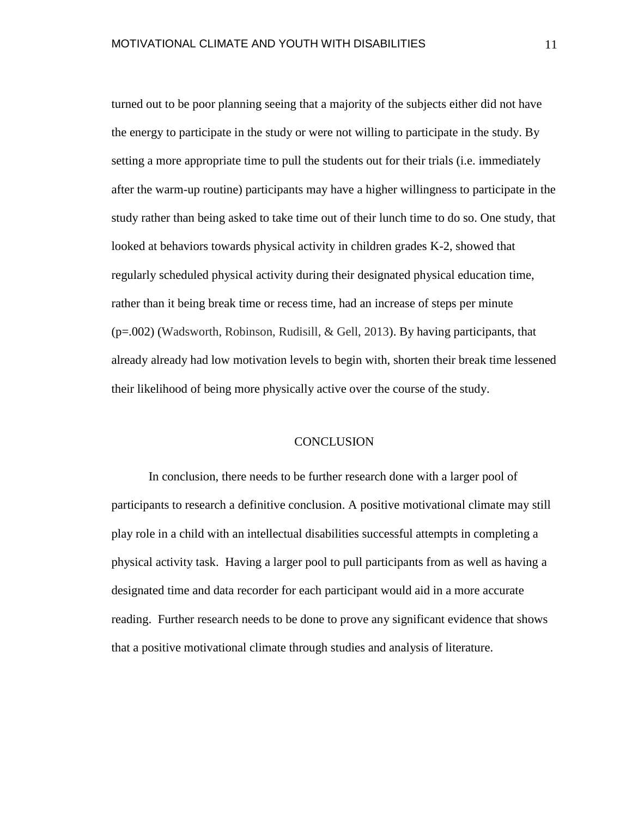turned out to be poor planning seeing that a majority of the subjects either did not have the energy to participate in the study or were not willing to participate in the study. By setting a more appropriate time to pull the students out for their trials (i.e. immediately after the warm-up routine) participants may have a higher willingness to participate in the study rather than being asked to take time out of their lunch time to do so. One study, that looked at behaviors towards physical activity in children grades K-2, showed that regularly scheduled physical activity during their designated physical education time, rather than it being break time or recess time, had an increase of steps per minute (p=.002) (Wadsworth, Robinson, Rudisill, & Gell, 2013). By having participants, that already already had low motivation levels to begin with, shorten their break time lessened their likelihood of being more physically active over the course of the study.

#### **CONCLUSION**

<span id="page-14-0"></span>In conclusion, there needs to be further research done with a larger pool of participants to research a definitive conclusion. A positive motivational climate may still play role in a child with an intellectual disabilities successful attempts in completing a physical activity task. Having a larger pool to pull participants from as well as having a designated time and data recorder for each participant would aid in a more accurate reading. Further research needs to be done to prove any significant evidence that shows that a positive motivational climate through studies and analysis of literature.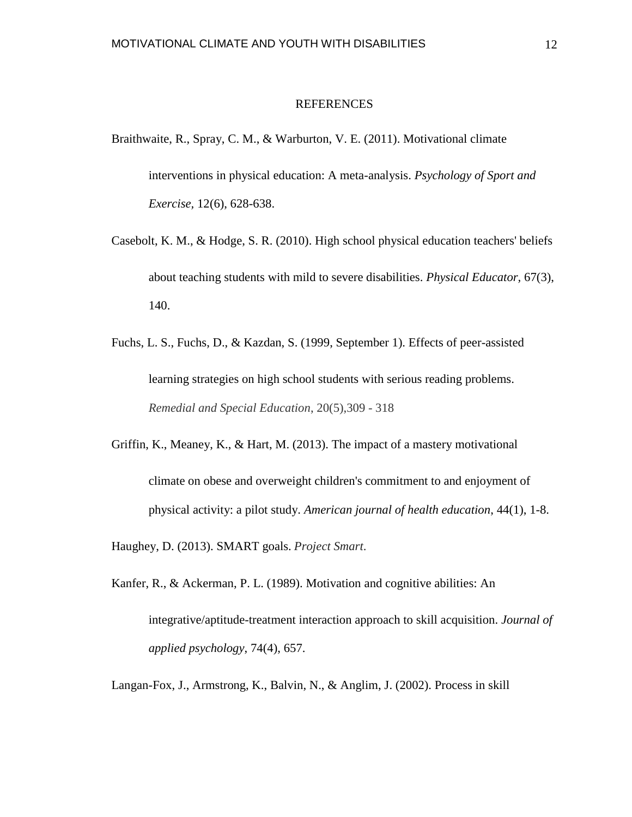#### REFERENCES

- <span id="page-15-0"></span>Braithwaite, R., Spray, C. M., & Warburton, V. E. (2011). Motivational climate interventions in physical education: A meta-analysis. *Psychology of Sport and Exercise,* 12(6), 628-638.
- Casebolt, K. M., & Hodge, S. R. (2010). High school physical education teachers' beliefs about teaching students with mild to severe disabilities. *Physical Educator,* 67(3), 140.
- Fuchs, L. S., Fuchs, D., & Kazdan, S. (1999, September 1). Effects of peer-assisted learning strategies on high school students with serious reading problems. *Remedial and Special Education*, 20(5),309 - 318
- Griffin, K., Meaney, K., & Hart, M. (2013). The impact of a mastery motivational climate on obese and overweight children's commitment to and enjoyment of physical activity: a pilot study. *American journal of health education*, 44(1), 1-8.

Haughey, D. (2013). SMART goals. *Project Smart*.

Kanfer, R., & Ackerman, P. L. (1989). Motivation and cognitive abilities: An integrative/aptitude-treatment interaction approach to skill acquisition. *Journal of applied psychology*, 74(4), 657.

Langan-Fox, J., Armstrong, K., Balvin, N., & Anglim, J. (2002). Process in skill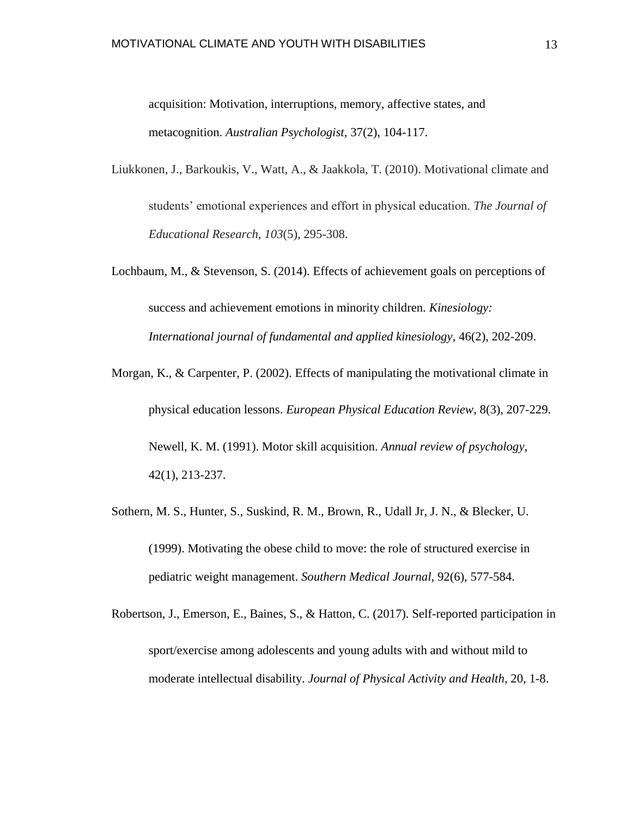acquisition: Motivation, interruptions, memory, affective states, and metacognition. *Australian Psychologist*, 37(2), 104-117.

- Liukkonen, J., Barkoukis, V., Watt, A., & Jaakkola, T. (2010). Motivational climate and students' emotional experiences and effort in physical education. *The Journal of Educational Research*, *103*(5), 295-308.
- Lochbaum, M., & Stevenson, S. (2014). Effects of achievement goals on perceptions of success and achievement emotions in minority children. *Kinesiology: International journal of fundamental and applied kinesiology*, 46(2), 202-209.
- Morgan, K., & Carpenter, P. (2002). Effects of manipulating the motivational climate in physical education lessons. *European Physical Education Review*, 8(3), 207-229. Newell, K. M. (1991). Motor skill acquisition. *Annual review of psychology*, 42(1), 213-237.
- Sothern, M. S., Hunter, S., Suskind, R. M., Brown, R., Udall Jr, J. N., & Blecker, U. (1999). Motivating the obese child to move: the role of structured exercise in pediatric weight management. *Southern Medical Journal*, 92(6), 577-584.
- Robertson, J., Emerson, E., Baines, S., & Hatton, C. (2017). Self-reported participation in sport/exercise among adolescents and young adults with and without mild to moderate intellectual disability. *Journal of Physical Activity and Health*, 20, 1-8.